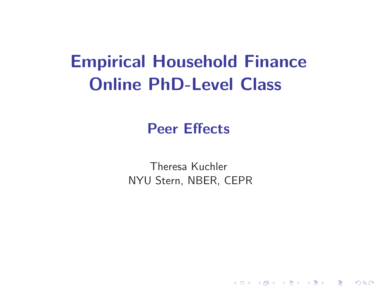# **Empirical Household FinanceOnline PhD-Level Class**

## **Peer Effects**

Theresa KuchlerNYU Stern, NBER, CEPR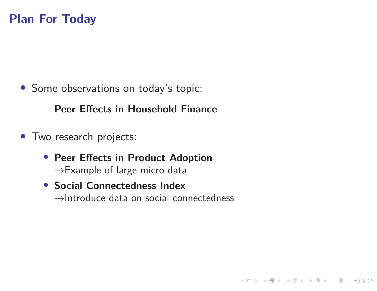#### **Plan For Today**

• Some observations on today's topic:

**Peer Effects in Household Finance**

- Two research projects:
	- **Peer Effects in Product Adoption** $\rightarrow$ Example of large micro-data
	- **Social Connectedness Index** $\rightarrow$ Introduce data on social connectedness

K ロ ▶ K 個 ▶ K ミ ▶ K ミ ▶ │ 트 │ K 9 Q Q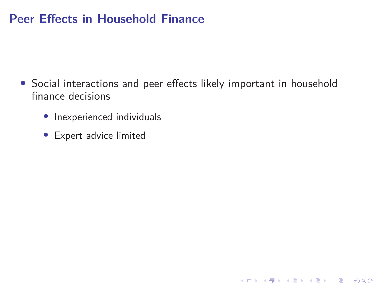#### **Peer Effects in Household Finance**

- Social interactions and peer effects likely important in householdfinance decisions
	- Inexperienced individuals
	- Expert advice limited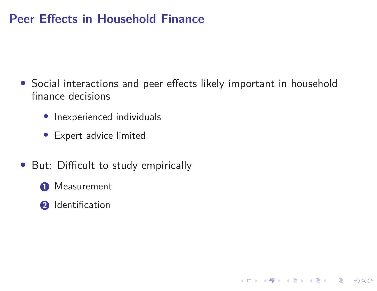#### **Peer Effects in Household Finance**

• Social interactions and peer effects likely important in householdfinance decisions

K ロ ▶ K 個 ▶ K ミ ▶ K ミ ▶ │ 트 │ K 9 Q Q

- Inexperienced individuals
- Expert advice limited
- But: Difficult to study empirically
	- **1** Measurement
	- **2** Identification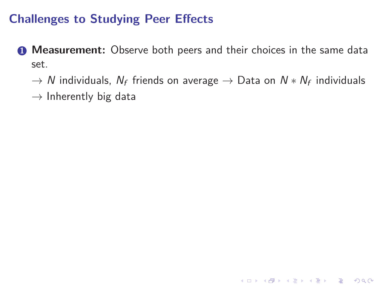- **1 Measurement:** Observe both peers and their choices in the same dataset.
	- $\rightarrow$   $N$  individuals,  $N_f$  friends on average  $\rightarrow$  Data on  $N*N_f$  individuals<br>solutions that the data
	- $\rightarrow$  Inherently big data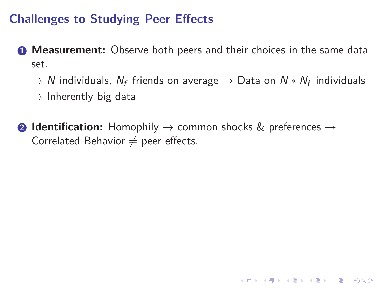- **1 Measurement:** Observe both peers and their choices in the same dataset.
	- $\rightarrow$   $N$  individuals,  $N_f$  friends on average  $\rightarrow$  Data on  $N*N_f$  individuals<br>solutions that the data
	- $\rightarrow$  Inherently big data
- **2 Identification:** Homophily  $\rightarrow$  common shocks & preferences  $\rightarrow$  Correlated Behavior  $\neq$  peer effects Correlated Behavior  $\neq$  peer effects.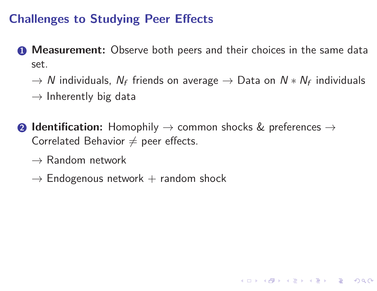**1 Measurement:** Observe both peers and their choices in the same dataset.

 $\rightarrow$   $N$  individuals,  $N_f$  friends on average  $\rightarrow$  Data on  $N*N_f$  individuals<br>solutions that the data

4 ロ > 4 何 > 4 ミ > 4 ミ > ニ = 0 9 Q Q

 $\rightarrow$  Inherently big data

- **2 Identification:** Homophily  $\rightarrow$  common shocks & preferences  $\rightarrow$  Correlated Behavior  $\neq$  peer effects Correlated Behavior  $\neq$  peer effects.
	- $\rightarrow$  Random network<br> $\overline{\phantom{a}}$
	- $\rightarrow$  Endogenous network  $+$  random shock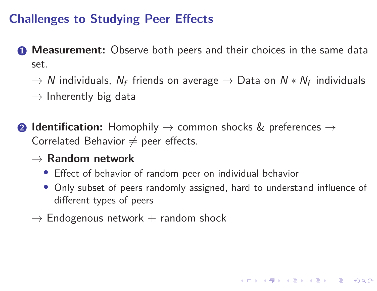**1 Measurement:** Observe both peers and their choices in the same dataset.

 $\rightarrow$   $N$  individuals,  $N_f$  friends on average  $\rightarrow$  Data on  $N*N_f$  individuals<br>solutions that the data

 $\rightarrow$  Inherently big data

- **2 Identification:** Homophily  $\rightarrow$  common shocks & preferences  $\rightarrow$  Correlated Behavior  $\neq$  peer effects Correlated Behavior  $\neq$  peer effects.
	- → **Random network**
		- Effect of behavior of random peer on individual behavior
		- Only subset of peers randomly assigned, hard to understand influence of different types of peers
	- $\rightarrow$  Endogenous network  $+$  random shock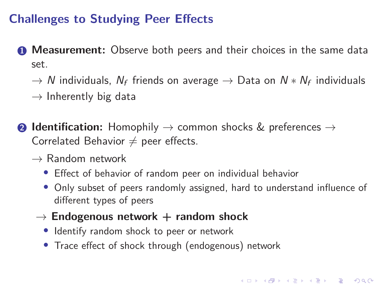**1 Measurement:** Observe both peers and their choices in the same dataset.

 $\rightarrow$   $N$  individuals,  $N_f$  friends on average  $\rightarrow$  Data on  $N*N_f$  individuals<br>solutions that the data

 $\rightarrow$  Inherently big data

**2 Identification:** Homophily  $\rightarrow$  common shocks & preferences  $\rightarrow$  Correlated Behavior  $\neq$  peer effects Correlated Behavior  $\neq$  peer effects.

- $\rightarrow$  Random network<br>• Effect of behavior
	- Effect of behavior of random peer on individual behavior
	- Only subset of peers randomly assigned, hard to understand influence of different types of peers
	- → **Endogenous network <sup>+</sup> random shock**
		- Identify random shock to peer or network
		- Trace effect of shock through (endogenous) network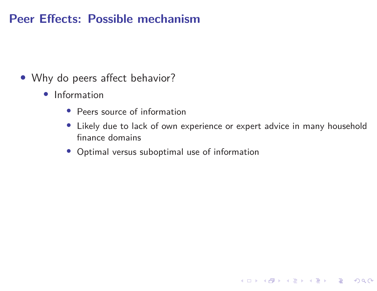#### **Peer Effects: Possible mechanism**

- Why do peers affect behavior?
	- Information
		- Peers source of information
		- Likely due to lack of own experience or expert advice in many householdfinance domains
		- Optimal versus suboptimal use of information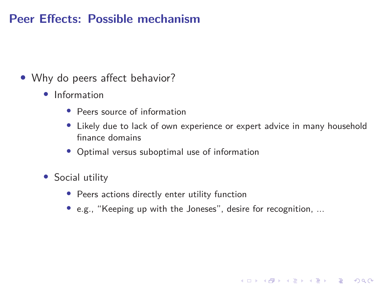#### **Peer Effects: Possible mechanism**

- Why do peers affect behavior?
	- Information
		- Peers source of information
		- Likely due to lack of own experience or expert advice in many householdfinance domains
		- Optimal versus suboptimal use of information
	- Social utility
		- Peers actions directly enter utility function
		- e.g., "Keeping up with the Joneses", desire for recognition, ...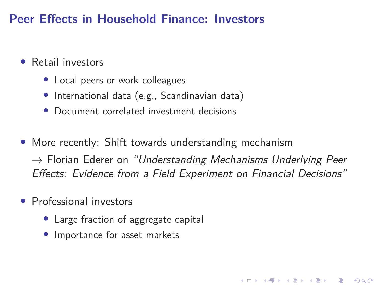#### **Peer Effects in Household Finance: Investors**

- $\bullet$  Retail investors
	- Local peers or work colleagues
	- International data (e.g., Scandinavian data)
	- •Document correlated investment decisions
- More recently: Shift towards understanding mechanism $\rightarrow$  Florian Ederer on "Understanding Mechanisms Underlying Peer<br>Effects: Evidence from a Field Experiment on Einancial Decisions" Effects: Evidence from <sup>a</sup> Field Experiment on Financial Decisions"
- $\bullet$  Professional investors
	- Large fraction of aggregate capital
	- $\bullet$ Importance for asset markets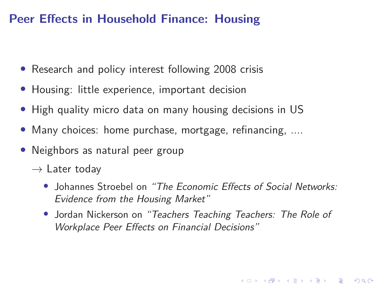#### **Peer Effects in Household Finance: Housing**

- Research and policy interest following <sup>2008</sup> crisis
- Housing: little experience, important decision
- High quality micro data on many housing decisions in US
- $\bullet$ Many choices: home purchase, mortgage, refinancing, ....
- • Neighbors as natural peer group
	- $\rightarrow$  Later today
		- Johannes Stroebel on "The Economic Effects of Social Networks: Evidence from the Housing Market"
		- Jordan Nickerson on "Teachers Teaching Teachers: The Role of Workplace Peer Effects on Financial Decisions"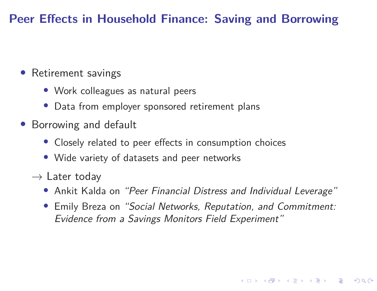#### **Peer Effects in Household Finance: Saving and Borrowing**

### • Retirement savings

- Work colleagues as natural peers
- Data from employer sponsored retirement plans
- Borrowing and default
	- Closely related to peer effects in consumption choices
	- Wide variety of datasets and peer networks
	- $\rightarrow$  Later today<br>• Ankit Kald
		- Ankit Kalda on "Peer Financial Distress and Individual Leverage"
		- • Emily Breza on "Social Networks, Reputation, and Commitment: Evidence from <sup>a</sup> Savings Monitors Field Experiment"